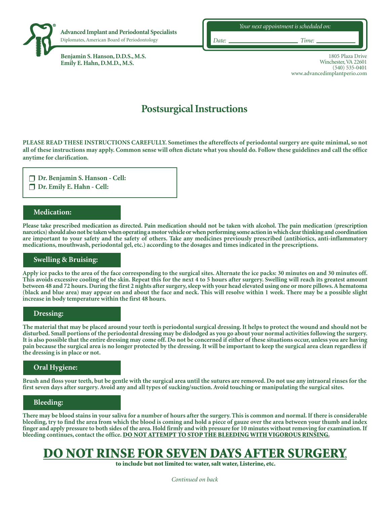

**Benjamin S. Hanson, D.D.S., M.S. Emily E. Hahn, D.M.D., M.S.**

1805 Plaza Drive Winchester, VA 22601 (540) 535-0401 www.advancedimplantperio.com

# **Postsurgical Instructions**

**PLEASE READ THESE INSTRUCTIONS CAREFULLY. Sometimes the aftereffects of periodontal surgery are quite minimal, so not all of these instructions may apply. Common sense will often dictate what you should do. Follow these guidelines and call the office anytime for clarification.**

**Dr. Benjamin S. Hanson - Cell: Dr. Emily E. Hahn - Cell:** 

## **Medication:**

**Please take prescribed medication as directed. Pain medication should not be taken with alcohol. The pain medication (prescription narcotics) should also not be taken when operating a motor vehicle or when performing some action in which clear thinking and coordination are important to your safety and the safety of others. Take any medicines previously prescribed (antibiotics, anti-inflammatory medications, mouthwash, periodontal gel, etc.) according to the dosages and times indicated in the prescriptions.**

## **Swelling & Bruising:**

**Apply ice packs to the area of the face corresponding to the surgical sites. Alternate the ice packs: 30 minutes on and 30 minutes off. This avoids excessive cooling of the skin. Repeat this for the next 4 to 5 hours after surgery. Swelling will reach its greatest amount between 48 and 72 hours. During the first 2 nights after surgery, sleep with your head elevated using one or more pillows. A hematoma (black and blue area) may appear on and about the face and neck. This will resolve within 1 week. There may be a possible slight increase in body temperature within the first 48 hours.**

#### **Dressing:**

**The material that may be placed around your teeth is periodontal surgical dressing. It helps to protect the wound and should not be disturbed. Small portions of the periodontal dressing may be dislodged as you go about your normal activities following the surgery. It is also possible that the entire dressing may come off. Do not be concerned if either of these situations occur, unless you are having pain because the surgical area is no longer protected by the dressing. It will be important to keep the surgical area clean regardless if the dressing is in place or not.**

# **Oral Hygiene:**

**Brush and floss your teeth, but be gentle with the surgical area until the sutures are removed. Do not use any intraoral rinses for the first seven days after surgery. Avoid any and all types of sucking/suction. Avoid touching or manipulating the surgical sites.**

#### **Bleeding:**

**There may be blood stains in your saliva for a number of hours after the surgery. This is common and normal. If there is considerable bleeding, try to find the area from which the blood is coming and hold a piece of gauze over the area between your thumb and index finger and apply pressure to both sides of the area. Hold firmly and with pressure for 10 minutes without removing for examination.If bleeding continues, contact the office.** DO NOT ATTEMPT TO STOP THE BLEEDING WITH VIGOROUS RINSING.

# DO NOT RINSE FOR SEVEN DAYS AFTER SURGER

to include but not limited to: water, salt water, Listerine, etc.